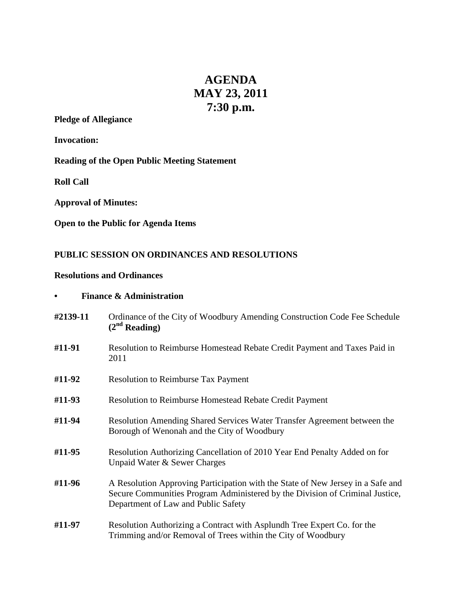# **AGENDA MAY 23, 2011 7:30 p.m.**

## **Pledge of Allegiance**

**Invocation:**

**Reading of the Open Public Meeting Statement**

**Roll Call**

**Approval of Minutes:**

**Open to the Public for Agenda Items**

#### **PUBLIC SESSION ON ORDINANCES AND RESOLUTIONS**

#### **Resolutions and Ordinances**

| <b>Finance &amp; Administration</b> |                                                                                                                                                                                                        |
|-------------------------------------|--------------------------------------------------------------------------------------------------------------------------------------------------------------------------------------------------------|
| #2139-11                            | Ordinance of the City of Woodbury Amending Construction Code Fee Schedule<br>$(2^{nd}$ Reading)                                                                                                        |
| #11-91                              | Resolution to Reimburse Homestead Rebate Credit Payment and Taxes Paid in<br>2011                                                                                                                      |
| #11-92                              | <b>Resolution to Reimburse Tax Payment</b>                                                                                                                                                             |
| #11-93                              | <b>Resolution to Reimburse Homestead Rebate Credit Payment</b>                                                                                                                                         |
| #11-94                              | Resolution Amending Shared Services Water Transfer Agreement between the<br>Borough of Wenonah and the City of Woodbury                                                                                |
| #11-95                              | Resolution Authorizing Cancellation of 2010 Year End Penalty Added on for<br>Unpaid Water & Sewer Charges                                                                                              |
| #11-96                              | A Resolution Approving Participation with the State of New Jersey in a Safe and<br>Secure Communities Program Administered by the Division of Criminal Justice,<br>Department of Law and Public Safety |
| #11-97                              | Resolution Authorizing a Contract with Asplundh Tree Expert Co. for the                                                                                                                                |

Trimming and/or Removal of Trees within the City of Woodbury